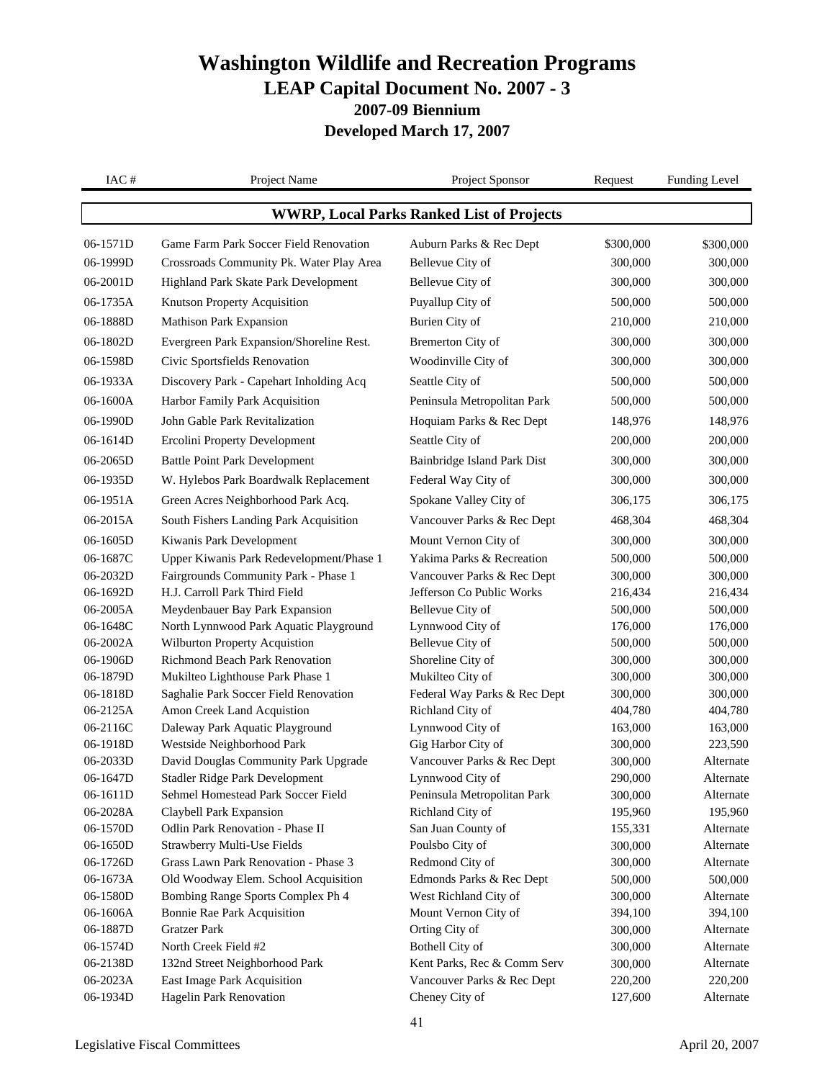| IAC#                                             | Project Name                                                              | Project Sponsor                                   | Request            | <b>Funding Level</b>   |
|--------------------------------------------------|---------------------------------------------------------------------------|---------------------------------------------------|--------------------|------------------------|
| <b>WWRP, Local Parks Ranked List of Projects</b> |                                                                           |                                                   |                    |                        |
| 06-1571D                                         | Game Farm Park Soccer Field Renovation                                    | Auburn Parks & Rec Dept                           | \$300,000          | \$300,000              |
| 06-1999D                                         | Crossroads Community Pk. Water Play Area                                  | Bellevue City of                                  | 300,000            | 300,000                |
| 06-2001D                                         | Highland Park Skate Park Development                                      | Bellevue City of                                  | 300,000            | 300,000                |
| 06-1735A                                         | Knutson Property Acquisition                                              | Puyallup City of                                  | 500,000            | 500,000                |
| 06-1888D                                         | <b>Mathison Park Expansion</b>                                            | Burien City of                                    | 210,000            | 210,000                |
| 06-1802D                                         | Evergreen Park Expansion/Shoreline Rest.                                  | Bremerton City of                                 | 300,000            | 300,000                |
|                                                  |                                                                           |                                                   |                    |                        |
| 06-1598D                                         | Civic Sportsfields Renovation                                             | Woodinville City of                               | 300,000            | 300,000                |
| 06-1933A                                         | Discovery Park - Capehart Inholding Acq                                   | Seattle City of                                   | 500,000            | 500,000                |
| 06-1600A                                         | Harbor Family Park Acquisition                                            | Peninsula Metropolitan Park                       | 500,000            | 500,000                |
| 06-1990D                                         | John Gable Park Revitalization                                            | Hoquiam Parks & Rec Dept                          | 148,976            | 148,976                |
| 06-1614D                                         | <b>Ercolini Property Development</b>                                      | Seattle City of                                   | 200,000            | 200,000                |
| 06-2065D                                         | <b>Battle Point Park Development</b>                                      | Bainbridge Island Park Dist                       | 300,000            | 300,000                |
| 06-1935D                                         | W. Hylebos Park Boardwalk Replacement                                     | Federal Way City of                               | 300,000            | 300,000                |
| 06-1951A                                         | Green Acres Neighborhood Park Acq.                                        | Spokane Valley City of                            | 306,175            | 306,175                |
| 06-2015A                                         | South Fishers Landing Park Acquisition                                    | Vancouver Parks & Rec Dept                        | 468,304            | 468,304                |
| 06-1605D                                         | Kiwanis Park Development                                                  | Mount Vernon City of                              | 300,000            | 300,000                |
| 06-1687C                                         | Upper Kiwanis Park Redevelopment/Phase 1                                  | Yakima Parks & Recreation                         | 500,000            | 500,000                |
| 06-2032D                                         | Fairgrounds Community Park - Phase 1                                      | Vancouver Parks & Rec Dept                        | 300,000            | 300,000                |
| 06-1692D                                         | H.J. Carroll Park Third Field                                             | Jefferson Co Public Works                         | 216,434            | 216,434                |
| 06-2005A                                         | Meydenbauer Bay Park Expansion                                            | Bellevue City of                                  | 500,000            | 500,000                |
| 06-1648C                                         | North Lynnwood Park Aquatic Playground                                    | Lynnwood City of                                  | 176,000            | 176,000                |
| 06-2002A                                         | Wilburton Property Acquistion                                             | Bellevue City of                                  | 500,000            | 500,000                |
| 06-1906D                                         | Richmond Beach Park Renovation                                            | Shoreline City of                                 | 300,000            | 300,000                |
| 06-1879D                                         | Mukilteo Lighthouse Park Phase 1                                          | Mukilteo City of                                  | 300,000            | 300,000                |
| 06-1818D                                         | Saghalie Park Soccer Field Renovation                                     | Federal Way Parks & Rec Dept                      | 300,000            | 300,000                |
| 06-2125A                                         | Amon Creek Land Acquistion                                                | Richland City of                                  | 404,780            | 404,780                |
| 06-2116C                                         | Daleway Park Aquatic Playground                                           | Lynnwood City of                                  | 163,000            | 163,000                |
| 06-1918D                                         | Westside Neighborhood Park                                                | Gig Harbor City of                                | 300,000            | 223,590                |
| 06-2033D                                         | David Douglas Community Park Upgrade                                      | Vancouver Parks & Rec Dept                        | 300,000            | Alternate              |
| 06-1647D                                         | <b>Stadler Ridge Park Development</b>                                     | Lynnwood City of                                  | 290,000            | Alternate              |
| 06-1611D                                         | Sehmel Homestead Park Soccer Field                                        | Peninsula Metropolitan Park                       | 300,000            | Alternate              |
| 06-2028A                                         | Claybell Park Expansion                                                   | Richland City of                                  | 195,960            | 195,960                |
| 06-1570D                                         | Odlin Park Renovation - Phase II                                          | San Juan County of                                | 155,331            | Alternate              |
| 06-1650D<br>06-1726D                             | Strawberry Multi-Use Fields                                               | Poulsbo City of                                   | 300,000            | Alternate<br>Alternate |
| 06-1673A                                         | Grass Lawn Park Renovation - Phase 3                                      | Redmond City of                                   | 300,000            |                        |
| 06-1580D                                         | Old Woodway Elem. School Acquisition<br>Bombing Range Sports Complex Ph 4 | Edmonds Parks & Rec Dept<br>West Richland City of | 500,000            | 500,000<br>Alternate   |
| 06-1606A                                         | <b>Bonnie Rae Park Acquisition</b>                                        | Mount Vernon City of                              | 300,000<br>394,100 | 394,100                |
| 06-1887D                                         | <b>Gratzer Park</b>                                                       | Orting City of                                    | 300,000            | Alternate              |
| 06-1574D                                         | North Creek Field #2                                                      | Bothell City of                                   | 300,000            | Alternate              |
| 06-2138D                                         | 132nd Street Neighborhood Park                                            | Kent Parks, Rec & Comm Serv                       | 300,000            | Alternate              |
| 06-2023A                                         | East Image Park Acquisition                                               | Vancouver Parks & Rec Dept                        | 220,200            | 220,200                |
| 06-1934D                                         | Hagelin Park Renovation                                                   | Cheney City of                                    | 127,600            | Alternate              |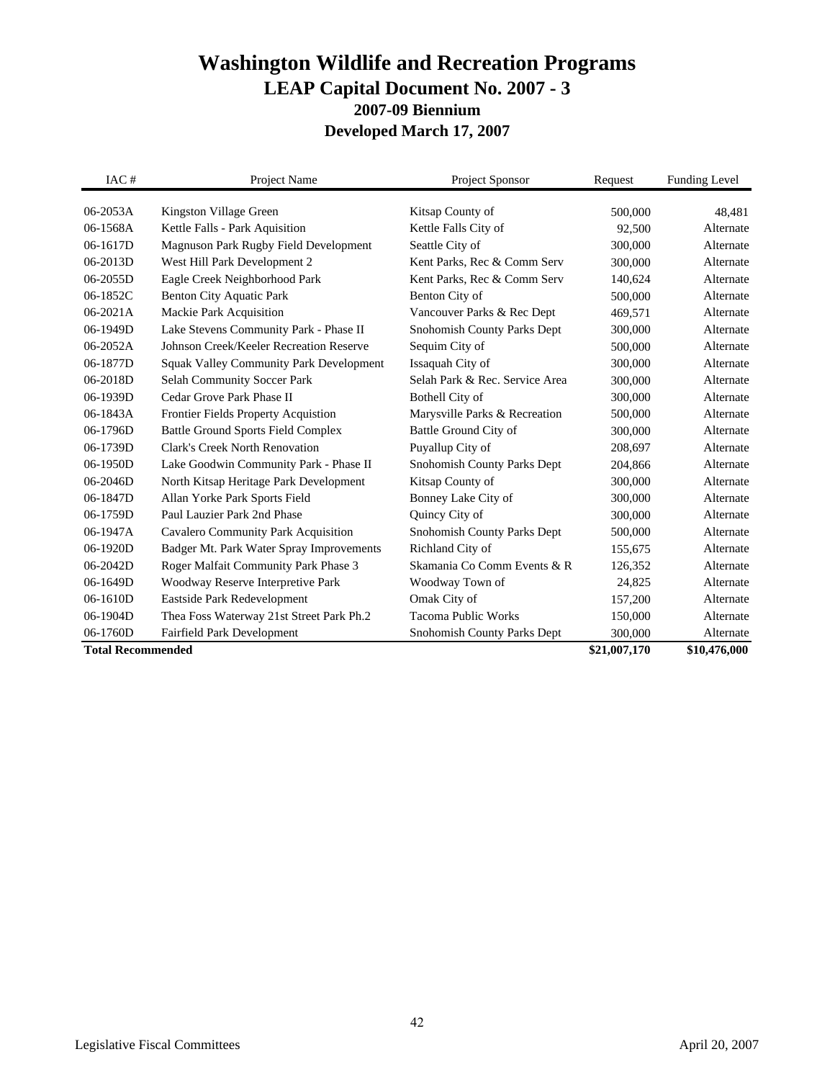| IAC#                     | Project Name                                   | Project Sponsor                          | Request      | <b>Funding Level</b> |
|--------------------------|------------------------------------------------|------------------------------------------|--------------|----------------------|
| 06-2053A                 |                                                |                                          | 500,000      | 48.481               |
| 06-1568A                 | Kingston Village Green                         | Kitsap County of<br>Kettle Falls City of | 92,500       | Alternate            |
|                          | Kettle Falls - Park Aquisition                 |                                          |              |                      |
| 06-1617D                 | Magnuson Park Rugby Field Development          | Seattle City of                          | 300,000      | Alternate            |
| 06-2013D                 | West Hill Park Development 2                   | Kent Parks, Rec & Comm Serv              | 300,000      | Alternate            |
| 06-2055D                 | Eagle Creek Neighborhood Park                  | Kent Parks, Rec & Comm Serv              | 140,624      | Alternate            |
| $06-1852C$               | <b>Benton City Aquatic Park</b>                | Benton City of                           | 500,000      | Alternate            |
| 06-2021A                 | Mackie Park Acquisition                        | Vancouver Parks & Rec Dept               | 469,571      | Alternate            |
| 06-1949D                 | Lake Stevens Community Park - Phase II         | <b>Snohomish County Parks Dept</b>       | 300,000      | Alternate            |
| 06-2052A                 | Johnson Creek/Keeler Recreation Reserve        | Sequim City of                           | 500,000      | Alternate            |
| 06-1877D                 | <b>Squak Valley Community Park Development</b> | Issaquah City of                         | 300,000      | Alternate            |
| 06-2018D                 | <b>Selah Community Soccer Park</b>             | Selah Park & Rec. Service Area           | 300,000      | Alternate            |
| 06-1939D                 | Cedar Grove Park Phase II                      | Bothell City of                          | 300,000      | Alternate            |
| 06-1843A                 | Frontier Fields Property Acquistion            | Marysville Parks & Recreation            | 500,000      | Alternate            |
| 06-1796D                 | <b>Battle Ground Sports Field Complex</b>      | Battle Ground City of                    | 300,000      | Alternate            |
| 06-1739D                 | Clark's Creek North Renovation                 | Puyallup City of                         | 208,697      | Alternate            |
| 06-1950D                 | Lake Goodwin Community Park - Phase II         | Snohomish County Parks Dept              | 204,866      | Alternate            |
| 06-2046D                 | North Kitsap Heritage Park Development         | Kitsap County of                         | 300,000      | Alternate            |
| 06-1847D                 | Allan Yorke Park Sports Field                  | Bonney Lake City of                      | 300,000      | Alternate            |
| 06-1759D                 | Paul Lauzier Park 2nd Phase                    | Quincy City of                           | 300,000      | Alternate            |
| 06-1947A                 | Cavalero Community Park Acquisition            | Snohomish County Parks Dept              | 500,000      | Alternate            |
| 06-1920D                 | Badger Mt. Park Water Spray Improvements       | Richland City of                         | 155,675      | Alternate            |
| 06-2042D                 | Roger Malfait Community Park Phase 3           | Skamania Co Comm Events & R              | 126,352      | Alternate            |
| 06-1649D                 | Woodway Reserve Interpretive Park              | Woodway Town of                          | 24,825       | Alternate            |
| 06-1610D                 | Eastside Park Redevelopment                    | Omak City of                             | 157,200      | Alternate            |
| 06-1904D                 | Thea Foss Waterway 21st Street Park Ph.2       | <b>Tacoma Public Works</b>               | 150,000      | Alternate            |
| 06-1760D                 | <b>Fairfield Park Development</b>              | Snohomish County Parks Dept              | 300,000      | Alternate            |
| <b>Total Recommended</b> |                                                |                                          | \$21,007,170 | \$10,476,000         |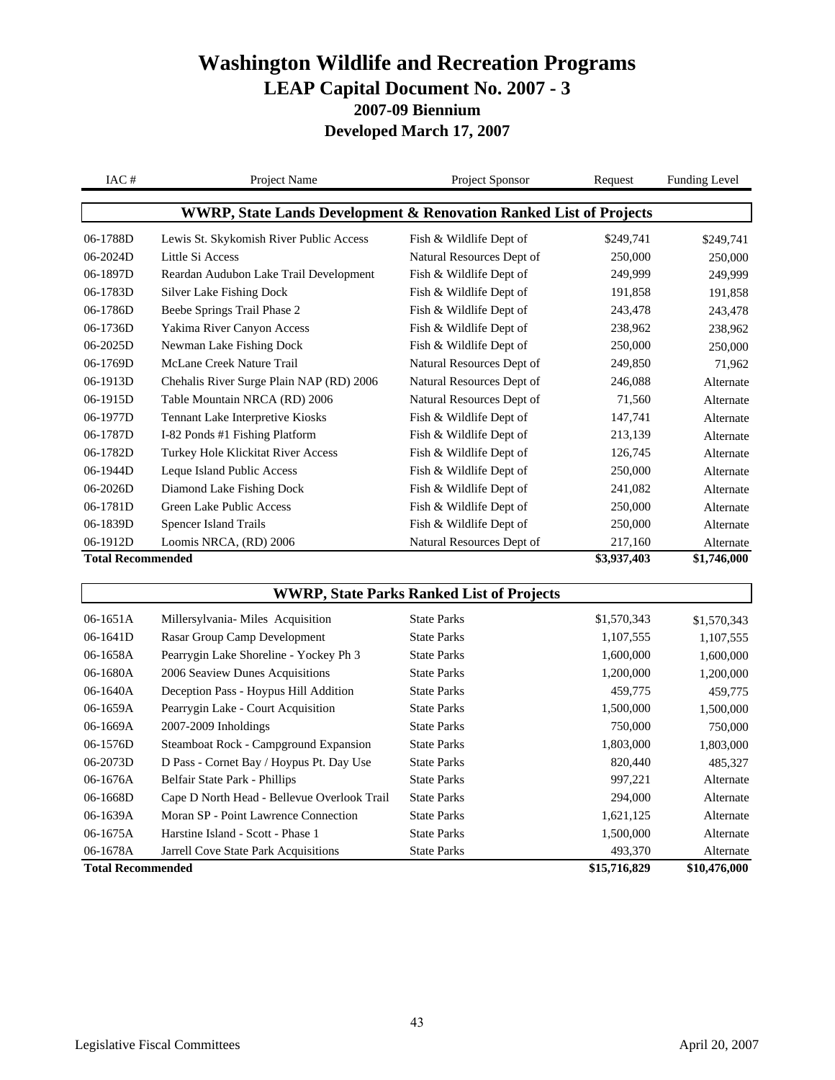| IAC#                     | Project Name                                                                  | Project Sponsor           | Request     | <b>Funding Level</b> |
|--------------------------|-------------------------------------------------------------------------------|---------------------------|-------------|----------------------|
|                          | <b>WWRP, State Lands Development &amp; Renovation Ranked List of Projects</b> |                           |             |                      |
| 06-1788D                 | Lewis St. Skykomish River Public Access                                       | Fish & Wildlife Dept of   | \$249,741   | \$249,741            |
| $06-2024D$               | Little Si Access                                                              | Natural Resources Dept of | 250,000     | 250,000              |
| 06-1897D                 | Reardan Audubon Lake Trail Development                                        | Fish & Wildlife Dept of   | 249,999     | 249,999              |
| 06-1783D                 | Silver Lake Fishing Dock                                                      | Fish & Wildlife Dept of   | 191,858     | 191,858              |
| 06-1786D                 | Beebe Springs Trail Phase 2                                                   | Fish & Wildlife Dept of   | 243,478     | 243,478              |
| 06-1736D                 | Yakima River Canyon Access                                                    | Fish & Wildlife Dept of   | 238,962     | 238,962              |
| 06-2025D                 | Newman Lake Fishing Dock                                                      | Fish & Wildlife Dept of   | 250,000     | 250,000              |
| 06-1769D                 | McLane Creek Nature Trail                                                     | Natural Resources Dept of | 249,850     | 71,962               |
| 06-1913D                 | Chehalis River Surge Plain NAP (RD) 2006                                      | Natural Resources Dept of | 246,088     | Alternate            |
| 06-1915D                 | Table Mountain NRCA (RD) 2006                                                 | Natural Resources Dept of | 71,560      | Alternate            |
| 06-1977D                 | Tennant Lake Interpretive Kiosks                                              | Fish & Wildlife Dept of   | 147,741     | Alternate            |
| 06-1787D                 | I-82 Ponds #1 Fishing Platform                                                | Fish & Wildlife Dept of   | 213,139     | Alternate            |
| 06-1782D                 | <b>Turkey Hole Klickitat River Access</b>                                     | Fish & Wildlife Dept of   | 126,745     | Alternate            |
| 06-1944D                 | Leque Island Public Access                                                    | Fish & Wildlife Dept of   | 250,000     | Alternate            |
| 06-2026D                 | Diamond Lake Fishing Dock                                                     | Fish & Wildlife Dept of   | 241,082     | Alternate            |
| 06-1781D                 | Green Lake Public Access                                                      | Fish & Wildlife Dept of   | 250,000     | Alternate            |
| 06-1839D                 | Spencer Island Trails                                                         | Fish & Wildlife Dept of   | 250,000     | Alternate            |
| 06-1912D                 | Loomis NRCA, (RD) 2006                                                        | Natural Resources Dept of | 217,160     | Alternate            |
| <b>Total Recommended</b> |                                                                               |                           | \$3,937,403 | \$1,746,000          |

#### **WWRP, State Parks Ranked List of Projects**

| Moran SP - Point Lawrence Connection<br>Harstine Island - Scott - Phase 1<br><b>Jarrell Cove State Park Acquisitions</b> | <b>State Parks</b><br><b>State Parks</b><br><b>State Parks</b> | 1,621,125<br>1,500,000<br>493,370 | Alternate<br>Alternate<br>Alternate |
|--------------------------------------------------------------------------------------------------------------------------|----------------------------------------------------------------|-----------------------------------|-------------------------------------|
|                                                                                                                          |                                                                |                                   |                                     |
|                                                                                                                          |                                                                |                                   |                                     |
|                                                                                                                          |                                                                |                                   |                                     |
| Cape D North Head - Bellevue Overlook Trail                                                                              | <b>State Parks</b>                                             | 294,000                           | Alternate                           |
| Belfair State Park - Phillips                                                                                            | <b>State Parks</b>                                             | 997,221                           | Alternate                           |
| D Pass - Cornet Bay / Hoypus Pt. Day Use                                                                                 | <b>State Parks</b>                                             | 820,440                           | 485.327                             |
| Steamboat Rock - Campground Expansion                                                                                    | <b>State Parks</b>                                             | 1,803,000                         | 1,803,000                           |
| $2007 - 2009$ Inholdings                                                                                                 | <b>State Parks</b>                                             | 750,000                           | 750,000                             |
| Pearrygin Lake - Court Acquisition                                                                                       | <b>State Parks</b>                                             | 1,500,000                         | 1,500,000                           |
| Deception Pass - Hoypus Hill Addition                                                                                    | <b>State Parks</b>                                             | 459,775                           | 459,775                             |
| 2006 Seaview Dunes Acquisitions                                                                                          | <b>State Parks</b>                                             | 1,200,000                         | 1,200,000                           |
| Pearrygin Lake Shoreline - Yockey Ph 3                                                                                   | <b>State Parks</b>                                             | 1,600,000                         | 1,600,000                           |
| Rasar Group Camp Development                                                                                             | <b>State Parks</b>                                             | 1,107,555                         | 1,107,555                           |
| Millersylvania-Miles Acquisition                                                                                         | <b>State Parks</b>                                             | \$1,570,343                       | \$1,570,343                         |
|                                                                                                                          |                                                                |                                   |                                     |

 $\sqrt{ }$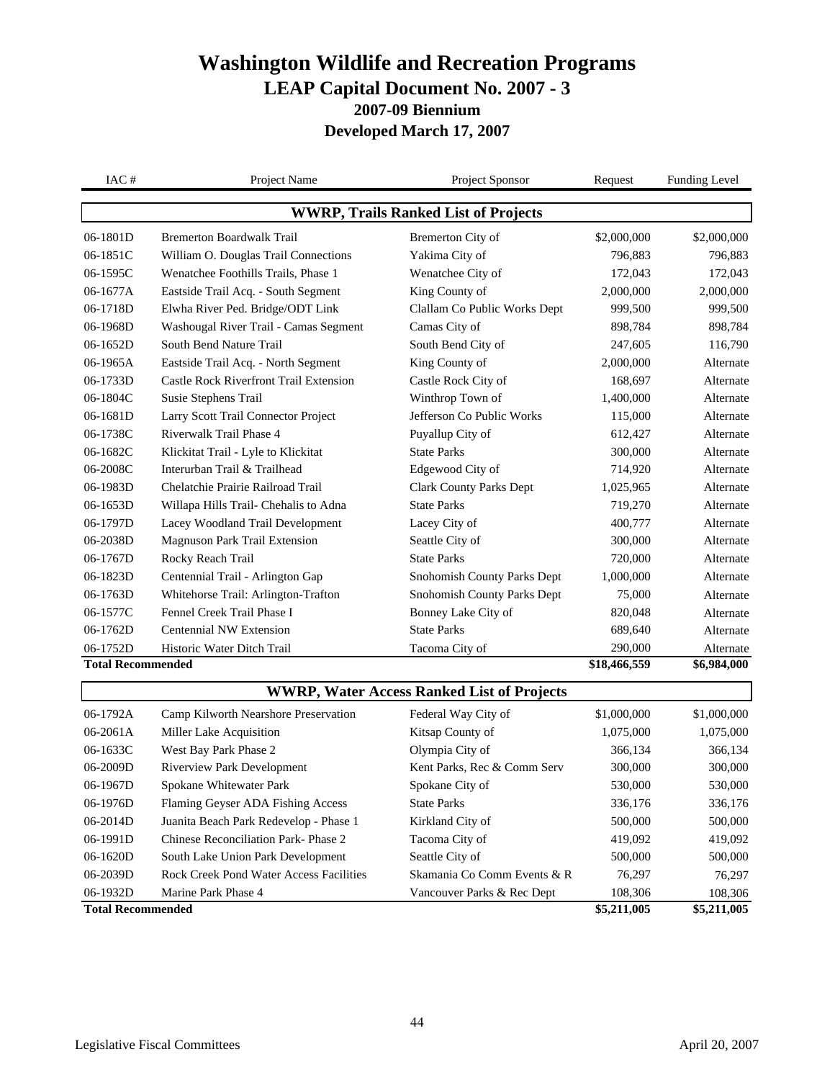| IAC#                                        | Project Name                                  | Project Sponsor                                   | Request      | <b>Funding Level</b> |  |
|---------------------------------------------|-----------------------------------------------|---------------------------------------------------|--------------|----------------------|--|
| <b>WWRP, Trails Ranked List of Projects</b> |                                               |                                                   |              |                      |  |
| 06-1801D                                    | <b>Bremerton Boardwalk Trail</b>              | Bremerton City of                                 | \$2,000,000  | \$2,000,000          |  |
| 06-1851C                                    | William O. Douglas Trail Connections          | Yakima City of                                    | 796,883      | 796,883              |  |
| 06-1595C                                    | Wenatchee Foothills Trails, Phase 1           | Wenatchee City of                                 | 172,043      | 172,043              |  |
| 06-1677A                                    | Eastside Trail Acq. - South Segment           | King County of                                    | 2,000,000    | 2,000,000            |  |
| 06-1718D                                    | Elwha River Ped. Bridge/ODT Link              | Clallam Co Public Works Dept                      | 999,500      | 999,500              |  |
| 06-1968D                                    | Washougal River Trail - Camas Segment         | Camas City of                                     | 898,784      | 898,784              |  |
| 06-1652D                                    | South Bend Nature Trail                       | South Bend City of                                | 247,605      | 116,790              |  |
| 06-1965A                                    | Eastside Trail Acq. - North Segment           | King County of                                    | 2,000,000    | Alternate            |  |
| 06-1733D                                    | <b>Castle Rock Riverfront Trail Extension</b> | Castle Rock City of                               | 168,697      | Alternate            |  |
| 06-1804C                                    | Susie Stephens Trail                          | Winthrop Town of                                  | 1,400,000    | Alternate            |  |
| 06-1681D                                    | Larry Scott Trail Connector Project           | Jefferson Co Public Works                         | 115,000      | Alternate            |  |
| 06-1738C                                    | Riverwalk Trail Phase 4                       | Puyallup City of                                  | 612,427      | Alternate            |  |
| 06-1682C                                    | Klickitat Trail - Lyle to Klickitat           | <b>State Parks</b>                                | 300,000      | Alternate            |  |
| 06-2008C                                    | Interurban Trail & Trailhead                  | Edgewood City of                                  | 714,920      | Alternate            |  |
| 06-1983D                                    | Chelatchie Prairie Railroad Trail             | <b>Clark County Parks Dept</b>                    | 1,025,965    | Alternate            |  |
| 06-1653D                                    | Willapa Hills Trail- Chehalis to Adna         | <b>State Parks</b>                                | 719,270      | Alternate            |  |
| 06-1797D                                    | Lacey Woodland Trail Development              | Lacey City of                                     | 400,777      | Alternate            |  |
| 06-2038D                                    | <b>Magnuson Park Trail Extension</b>          | Seattle City of                                   | 300,000      | Alternate            |  |
| 06-1767D                                    | Rocky Reach Trail                             | <b>State Parks</b>                                | 720,000      | Alternate            |  |
| 06-1823D                                    | Centennial Trail - Arlington Gap              | Snohomish County Parks Dept                       | 1,000,000    | Alternate            |  |
| 06-1763D                                    | Whitehorse Trail: Arlington-Trafton           | Snohomish County Parks Dept                       | 75,000       | Alternate            |  |
| 06-1577C                                    | Fennel Creek Trail Phase I                    | Bonney Lake City of                               | 820,048      | Alternate            |  |
| 06-1762D                                    | Centennial NW Extension                       | <b>State Parks</b>                                | 689,640      | Alternate            |  |
| 06-1752D                                    | Historic Water Ditch Trail                    | Tacoma City of                                    | 290,000      | Alternate            |  |
| <b>Total Recommended</b>                    |                                               |                                                   | \$18,466,559 | \$6,984,000          |  |
|                                             |                                               | <b>WWRP, Water Access Ranked List of Projects</b> |              |                      |  |
| 06-1792A                                    | Camp Kilworth Nearshore Preservation          | Federal Way City of                               | \$1,000,000  | \$1,000,000          |  |
| 06-2061A                                    | Miller Lake Acquisition                       | Kitsap County of                                  | 1,075,000    | 1,075,000            |  |
| 06-1633C                                    | West Bay Park Phase 2                         | Olympia City of                                   | 366,134      | 366,134              |  |
| 06-2009D                                    | <b>Riverview Park Development</b>             | Kent Parks, Rec & Comm Serv                       | 300,000      | 300,000              |  |
| 06-1967D                                    | Spokane Whitewater Park                       | Spokane City of                                   | 530,000      | 530,000              |  |
| 06-1976D                                    | Flaming Geyser ADA Fishing Access             | <b>State Parks</b>                                | 336,176      | 336,176              |  |
| 06-2014D                                    | Juanita Beach Park Redevelop - Phase 1        | Kirkland City of                                  | 500,000      | 500,000              |  |
| 06-1991D                                    | Chinese Reconciliation Park-Phase 2           | Tacoma City of                                    | 419,092      | 419,092              |  |
| 06-1620D                                    | South Lake Union Park Development             | Seattle City of                                   | 500,000      | 500,000              |  |
| 06-2039D                                    | Rock Creek Pond Water Access Facilities       | Skamania Co Comm Events & R                       | 76,297       | 76,297               |  |
| 06-1932D                                    | Marine Park Phase 4                           | Vancouver Parks & Rec Dept                        | 108,306      | 108,306              |  |
| <b>Total Recommended</b>                    |                                               |                                                   | \$5,211,005  | \$5,211,005          |  |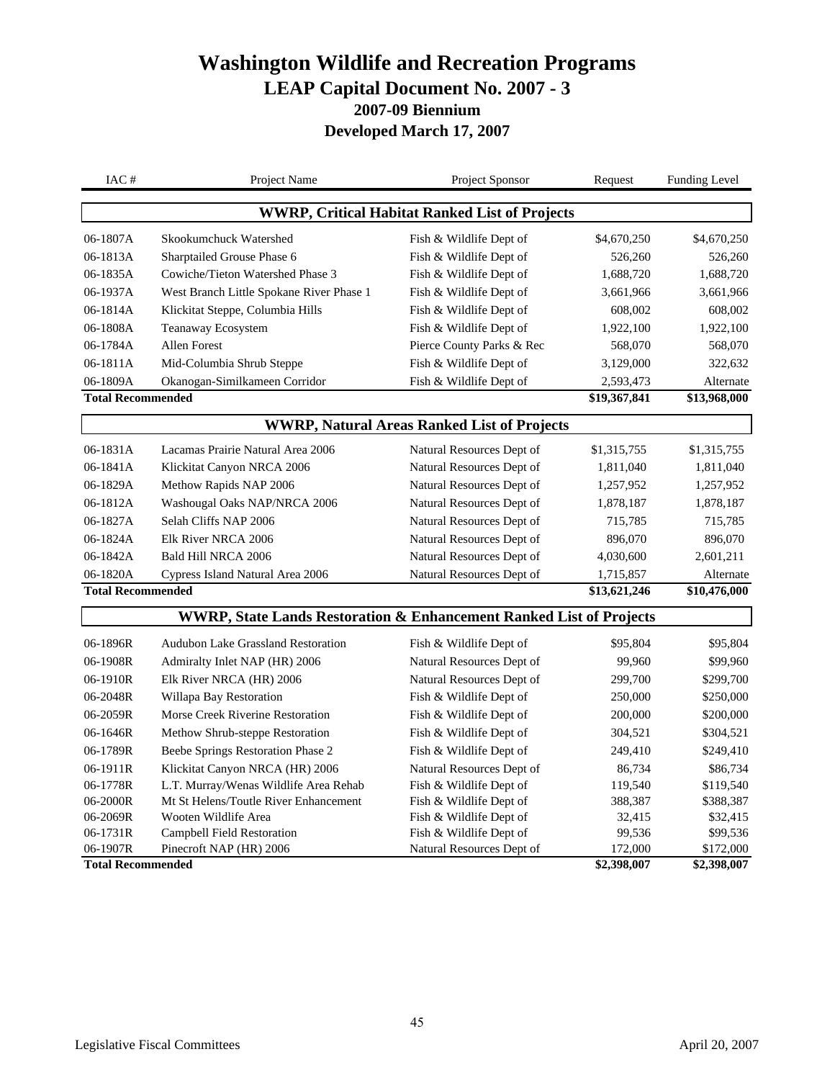| IAC#                                 | Project Name                                                                   | Project Sponsor                                       | Request                | <b>Funding Level</b>     |
|--------------------------------------|--------------------------------------------------------------------------------|-------------------------------------------------------|------------------------|--------------------------|
|                                      |                                                                                | <b>WWRP, Critical Habitat Ranked List of Projects</b> |                        |                          |
| 06-1807A                             | Skookumchuck Watershed                                                         | Fish & Wildlife Dept of                               | \$4,670,250            | \$4,670,250              |
| 06-1813A                             | Sharptailed Grouse Phase 6                                                     | Fish & Wildlife Dept of                               | 526,260                | 526,260                  |
| 06-1835A                             | Cowiche/Tieton Watershed Phase 3                                               | Fish & Wildlife Dept of                               | 1,688,720              | 1,688,720                |
| 06-1937A                             | West Branch Little Spokane River Phase 1                                       | Fish & Wildlife Dept of                               | 3,661,966              | 3,661,966                |
| 06-1814A                             | Klickitat Steppe, Columbia Hills                                               | Fish & Wildlife Dept of                               | 608,002                | 608,002                  |
| 06-1808A                             | Teanaway Ecosystem                                                             | Fish & Wildlife Dept of                               | 1,922,100              | 1,922,100                |
| 06-1784A                             | <b>Allen Forest</b>                                                            | Pierce County Parks & Rec                             | 568,070                | 568,070                  |
| 06-1811A                             | Mid-Columbia Shrub Steppe                                                      | Fish & Wildlife Dept of                               | 3,129,000              | 322,632                  |
| 06-1809A                             | Okanogan-Similkameen Corridor                                                  | Fish & Wildlife Dept of                               | 2,593,473              | Alternate                |
| <b>Total Recommended</b>             |                                                                                |                                                       | \$19,367,841           | \$13,968,000             |
|                                      |                                                                                | <b>WWRP, Natural Areas Ranked List of Projects</b>    |                        |                          |
| 06-1831A                             | Lacamas Prairie Natural Area 2006                                              | Natural Resources Dept of                             | \$1,315,755            | \$1,315,755              |
| 06-1841A                             | Klickitat Canyon NRCA 2006                                                     | Natural Resources Dept of                             | 1,811,040              | 1,811,040                |
| 06-1829A                             | Methow Rapids NAP 2006                                                         | Natural Resources Dept of                             | 1,257,952              | 1,257,952                |
| 06-1812A                             | Washougal Oaks NAP/NRCA 2006                                                   | Natural Resources Dept of                             | 1,878,187              | 1,878,187                |
| 06-1827A                             | Selah Cliffs NAP 2006                                                          | Natural Resources Dept of                             | 715,785                | 715,785                  |
| 06-1824A                             | Elk River NRCA 2006                                                            | Natural Resources Dept of                             | 896,070                | 896,070                  |
| 06-1842A                             | <b>Bald Hill NRCA 2006</b>                                                     | Natural Resources Dept of                             | 4,030,600              | 2,601,211                |
| 06-1820A                             | Cypress Island Natural Area 2006                                               | Natural Resources Dept of                             | 1,715,857              | Alternate                |
| <b>Total Recommended</b>             |                                                                                |                                                       | \$13,621,246           | \$10,476,000             |
|                                      | <b>WWRP, State Lands Restoration &amp; Enhancement Ranked List of Projects</b> |                                                       |                        |                          |
| 06-1896R                             | <b>Audubon Lake Grassland Restoration</b>                                      | Fish & Wildlife Dept of                               | \$95,804               | \$95,804                 |
| 06-1908R                             | Admiralty Inlet NAP (HR) 2006                                                  | Natural Resources Dept of                             | 99,960                 | \$99,960                 |
| 06-1910R                             | Elk River NRCA (HR) 2006                                                       | Natural Resources Dept of                             | 299,700                | \$299,700                |
| 06-2048R                             | Willapa Bay Restoration                                                        | Fish & Wildlife Dept of                               | 250,000                | \$250,000                |
| 06-2059R                             | Morse Creek Riverine Restoration                                               | Fish & Wildlife Dept of                               | 200,000                | \$200,000                |
| 06-1646R                             | Methow Shrub-steppe Restoration                                                | Fish & Wildlife Dept of                               | 304,521                | \$304,521                |
| 06-1789R                             | Beebe Springs Restoration Phase 2                                              | Fish & Wildlife Dept of                               | 249,410                | \$249,410                |
| 06-1911R                             | Klickitat Canyon NRCA (HR) 2006                                                | Natural Resources Dept of                             | 86,734                 | \$86,734                 |
| 06-1778R                             | L.T. Murray/Wenas Wildlife Area Rehab                                          | Fish & Wildlife Dept of                               | 119,540                | \$119,540                |
| 06-2000R                             | Mt St Helens/Toutle River Enhancement                                          | Fish & Wildlife Dept of                               | 388,387                | \$388,387                |
| 06-2069R                             | Wooten Wildlife Area                                                           | Fish & Wildlife Dept of                               | 32,415                 | \$32,415                 |
| 06-1731R                             | Campbell Field Restoration                                                     | Fish & Wildlife Dept of                               | 99,536                 | \$99,536                 |
| 06-1907R<br><b>Total Recommended</b> | Pinecroft NAP (HR) 2006                                                        | Natural Resources Dept of                             | 172,000<br>\$2,398,007 | \$172,000<br>\$2,398,007 |
|                                      |                                                                                |                                                       |                        |                          |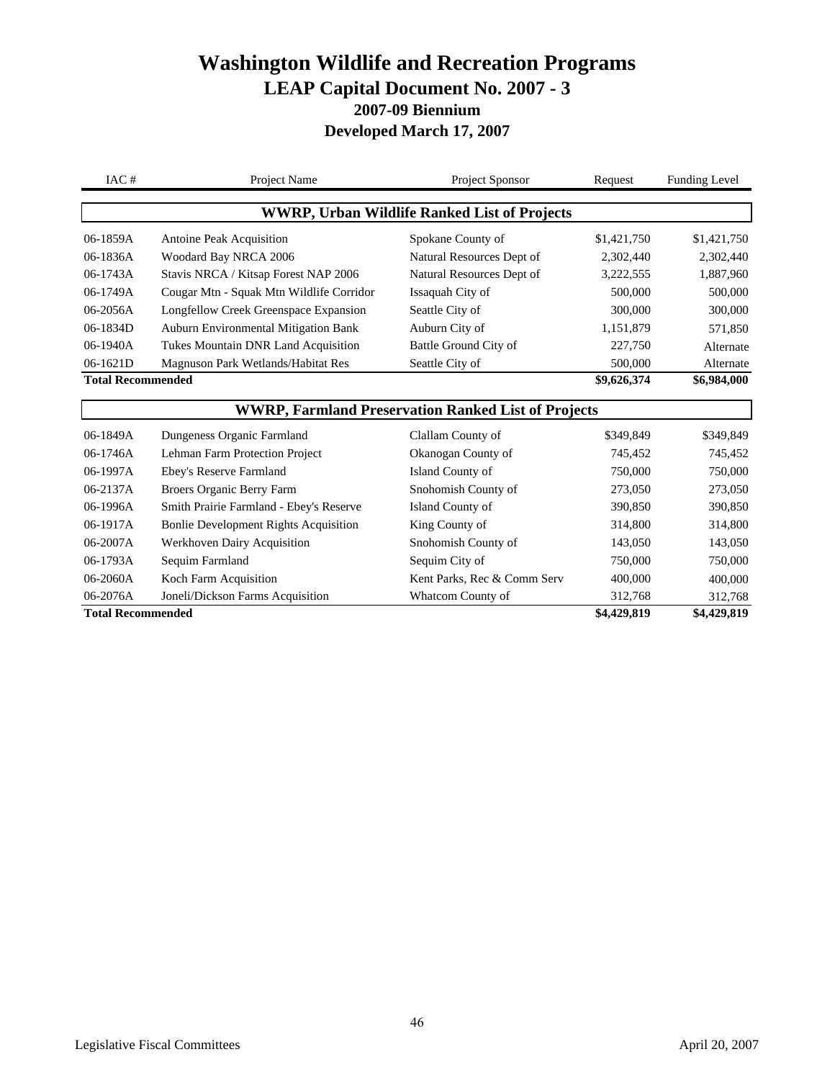| IAC#                     | Project Name                                 | Project Sponsor                                            | Request     | <b>Funding Level</b> |
|--------------------------|----------------------------------------------|------------------------------------------------------------|-------------|----------------------|
|                          |                                              | <b>WWRP, Urban Wildlife Ranked List of Projects</b>        |             |                      |
| 06-1859A                 | Antoine Peak Acquisition                     | Spokane County of                                          | \$1,421,750 | \$1,421,750          |
| 06-1836A                 | Woodard Bay NRCA 2006                        | Natural Resources Dept of                                  | 2,302,440   | 2,302,440            |
| 06-1743A                 | Stavis NRCA / Kitsap Forest NAP 2006         | Natural Resources Dept of                                  | 3,222,555   | 1,887,960            |
| 06-1749A                 | Cougar Mtn - Squak Mtn Wildlife Corridor     | Issaquah City of                                           | 500,000     | 500,000              |
| 06-2056A                 | Longfellow Creek Greenspace Expansion        | Seattle City of                                            | 300,000     | 300,000              |
| 06-1834D                 | <b>Auburn Environmental Mitigation Bank</b>  | Auburn City of                                             | 1,151,879   | 571,850              |
| 06-1940A                 | Tukes Mountain DNR Land Acquisition          | Battle Ground City of                                      | 227,750     | Alternate            |
| 06-1621D                 | Magnuson Park Wetlands/Habitat Res           | Seattle City of                                            | 500,000     | Alternate            |
| <b>Total Recommended</b> |                                              |                                                            |             | \$6,984,000          |
|                          |                                              | <b>WWRP, Farmland Preservation Ranked List of Projects</b> |             |                      |
| 06-1849A                 | Dungeness Organic Farmland                   | Clallam County of                                          | \$349,849   | \$349,849            |
| 06-1746A                 | Lehman Farm Protection Project               | Okanogan County of                                         | 745,452     | 745,452              |
| 06-1997A                 | Ebey's Reserve Farmland                      | Island County of                                           | 750,000     | 750,000              |
| 06-2137A                 | Broers Organic Berry Farm                    | Snohomish County of                                        | 273,050     | 273,050              |
| 06-1996A                 | Smith Prairie Farmland - Ebey's Reserve      | Island County of                                           | 390,850     | 390,850              |
| 06-1917A                 | <b>Bonlie Development Rights Acquisition</b> | King County of                                             | 314,800     | 314,800              |
| 06-2007A                 | Werkhoven Dairy Acquisition                  | Snohomish County of                                        | 143,050     | 143,050              |
| 06-1793A                 | Sequim Farmland                              | Sequim City of                                             | 750,000     | 750,000              |
| 06-2060A                 | Koch Farm Acquisition                        | Kent Parks, Rec & Comm Serv                                | 400,000     | 400,000              |
| 06-2076A                 | Joneli/Dickson Farms Acquisition             | Whatcom County of                                          | 312,768     | 312,768              |
| <b>Total Recommended</b> |                                              |                                                            | \$4,429,819 | \$4,429,819          |